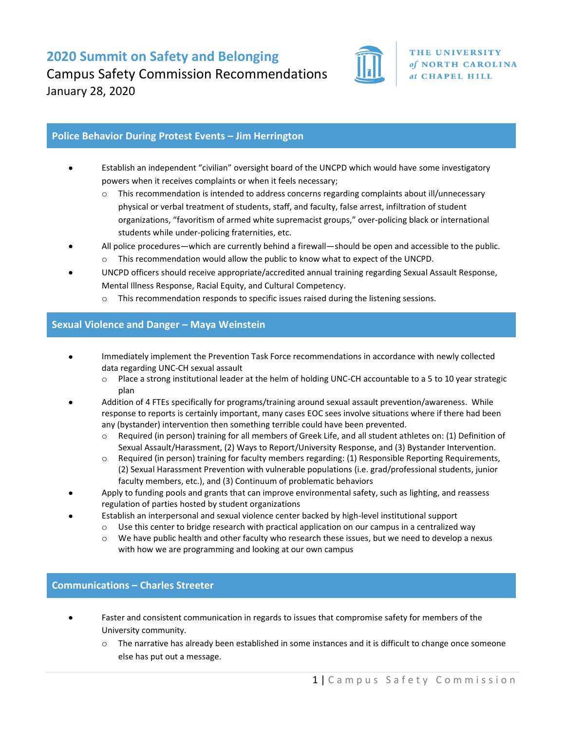**2020 Summit on Safety and Belonging** Campus Safety Commission Recommendations January 28, 2020



### **Police Behavior During Protest Events – Jim Herrington**

- Establish an independent "civilian" oversight board of the UNCPD which would have some investigatory powers when it receives complaints or when it feels necessary;
	- $\circ$  This recommendation is intended to address concerns regarding complaints about ill/unnecessary physical or verbal treatment of students, staff, and faculty, false arrest, infiltration of student organizations, "favoritism of armed white supremacist groups," over-policing black or international students while under-policing fraternities, etc.
- All police procedures—which are currently behind a firewall—should be open and accessible to the public. o This recommendation would allow the public to know what to expect of the UNCPD.
- UNCPD officers should receive appropriate/accredited annual training regarding Sexual Assault Response, Mental Illness Response, Racial Equity, and Cultural Competency.
	- $\circ$  This recommendation responds to specific issues raised during the listening sessions.

### **Sexual Violence and Danger – Maya Weinstein**

- Immediately implement the Prevention Task Force recommendations in accordance with newly collected data regarding UNC-CH sexual assault
	- o Place a strong institutional leader at the helm of holding UNC-CH accountable to a 5 to 10 year strategic plan
- Addition of 4 FTEs specifically for programs/training around sexual assault prevention/awareness. While response to reports is certainly important, many cases EOC sees involve situations where if there had been any (bystander) intervention then something terrible could have been prevented.
	- o Required (in person) training for all members of Greek Life, and all student athletes on: (1) Definition of Sexual Assault/Harassment, (2) Ways to Report/University Response, and (3) Bystander Intervention.
	- o Required (in person) training for faculty members regarding: (1) Responsible Reporting Requirements, (2) Sexual Harassment Prevention with vulnerable populations (i.e. grad/professional students, junior faculty members, etc.), and (3) Continuum of problematic behaviors
- Apply to funding pools and grants that can improve environmental safety, such as lighting, and reassess regulation of parties hosted by student organizations
- Establish an interpersonal and sexual violence center backed by high-level institutional support
	- $\circ$  Use this center to bridge research with practical application on our campus in a centralized way
		- o We have public health and other faculty who research these issues, but we need to develop a nexus with how we are programming and looking at our own campus

### **Communications – Charles Streeter**

- Faster and consistent communication in regards to issues that compromise safety for members of the University community.
	- $\circ$  The narrative has already been established in some instances and it is difficult to change once someone else has put out a message.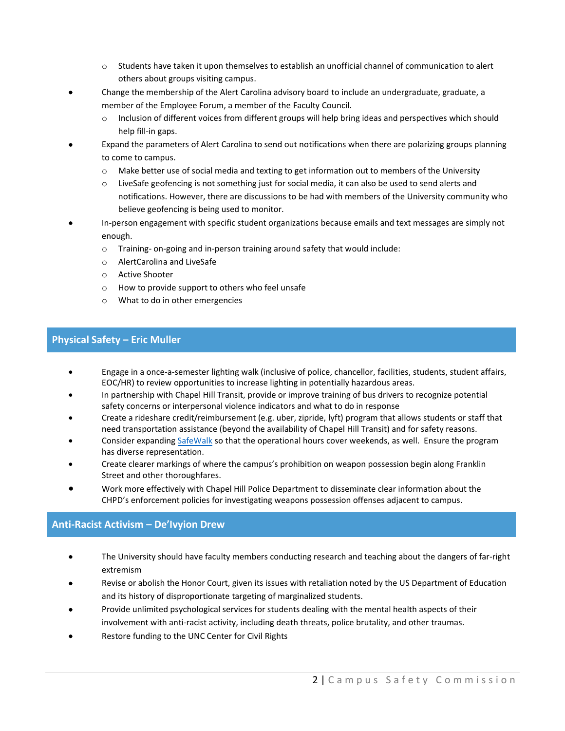- o Students have taken it upon themselves to establish an unofficial channel of communication to alert others about groups visiting campus.
- Change the membership of the Alert Carolina advisory board to include an undergraduate, graduate, a member of the Employee Forum, a member of the Faculty Council.
	- o Inclusion of different voices from different groups will help bring ideas and perspectives which should help fill-in gaps.
- Expand the parameters of Alert Carolina to send out notifications when there are polarizing groups planning to come to campus.
	- o Make better use of social media and texting to get information out to members of the University
	- $\circ$  LiveSafe geofencing is not something just for social media, it can also be used to send alerts and notifications. However, there are discussions to be had with members of the University community who believe geofencing is being used to monitor.
- In-person engagement with specific student organizations because emails and text messages are simply not enough.
	- o Training- on-going and in-person training around safety that would include:
	- o AlertCarolina and LiveSafe
	- o Active Shooter
	- o How to provide support to others who feel unsafe
	- o What to do in other emergencies

# **Physical Safety – Eric Muller**

- Engage in a once-a-semester lighting walk (inclusive of police, chancellor, facilities, students, student affairs, EOC/HR) to review opportunities to increase lighting in potentially hazardous areas.
- In partnership with Chapel Hill Transit, provide or improve training of bus drivers to recognize potential safety concerns or interpersonal violence indicators and what to do in response
- Create a rideshare credit/reimbursement (e.g. uber, zipride, lyft) program that allows students or staff that need transportation assistance (beyond the availability of Chapel Hill Transit) and for safety reasons.
- Consider expandin[g SafeWalk](https://safewalk.unc.edu/) so that the operational hours cover weekends, as well. Ensure the program has diverse representation.
- Create clearer markings of where the campus's prohibition on weapon possession begin along Franklin Street and other thoroughfares.
- Work more effectively with Chapel Hill Police Department to disseminate clear information about the CHPD's enforcement policies for investigating weapons possession offenses adjacent to campus.

# **Anti-Racist Activism – De'Ivyion Drew**

- The University should have faculty members conducting research and teaching about the dangers of far-right extremism
- Revise or abolish the Honor Court, given its issues with retaliation noted by the US Department of Education and its history of disproportionate targeting of marginalized students.
- Provide unlimited psychological services for students dealing with the mental health aspects of their involvement with anti-racist activity, including death threats, police brutality, and other traumas.
- Restore funding to the UNC Center for Civil Rights